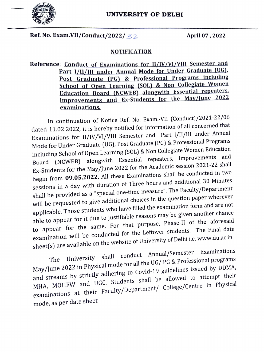

Ref. No. Exam.VII/Conduct/2022/ $\leq$ 2. April 07, 2022

## NOTIFICATION

Reference: Conduct of Examinations for II/IV/VI/VIII Semester and Part 1/1l/IIl under Annual Mode for Under Graduate (UG). FOst Graduate (PG) & Professional Programs including School of Open Learning (SOL) & Non Collegiate Women<br>Education Board (NCWEB) alongwith Essential repeaters. improvements and Ex-Students for the May/June 2022 examinations.

In continuation of Notice Ref. No. Exam.-VIl (Conduct)/2021-22/06 dated 11.02.2022, it is hereby notified for information of all concerned that Examinations for II/IV/VI/VIII Semester and Part I/II/III under Annual Mode for Under Graduate (UG), Post Graduate (PG) & Professional Programs including School of Open Learning (SOL) & Non Collegiate Women Education Board (NCWEB) alongwith Essential repeaters, improvements and Ex-Students for the May/June 2022 for the Academic session 2021-22 shall begin from 09.05.2022. All these Examinations shall be conducted in two sessions in a day with duration of Three hours and additional 30 Minutes shall be provided as a "special one-time measure". The Faculty/Department shall be provided as a special one control.<br>Will be requested to give additional choices in the question paper wherever applicable. Those students who have filled the examination form and are not able to appear for it due to justifiable reasons may be given another chance able to appear for it due to justimes.<br>to appear for the same. For that purpose, Phase-II of the aforesaid<br>ate the Leftover students. The Final date to appear for the same. For the Fig. 1.<br>examination will be conducted for the Leftover students. The Final date sheet(s) are available on the website of University of Delhi i.e. www.du.ac.in<br>A have Comester Examinations

University shall conduct Annual/Semester The University sitem correlational professional programs<br>May/June 2022 in Physical mode for all the UG/ PG & Professional programs and streams by strictly adhering to Covid-19 guidelines issued by DDMA, MHA, MOHFW and UGC. Students shall be allowed to attempt their examinations at their Faculty/Department/ College/Centre in Physical mode, as per date sheet